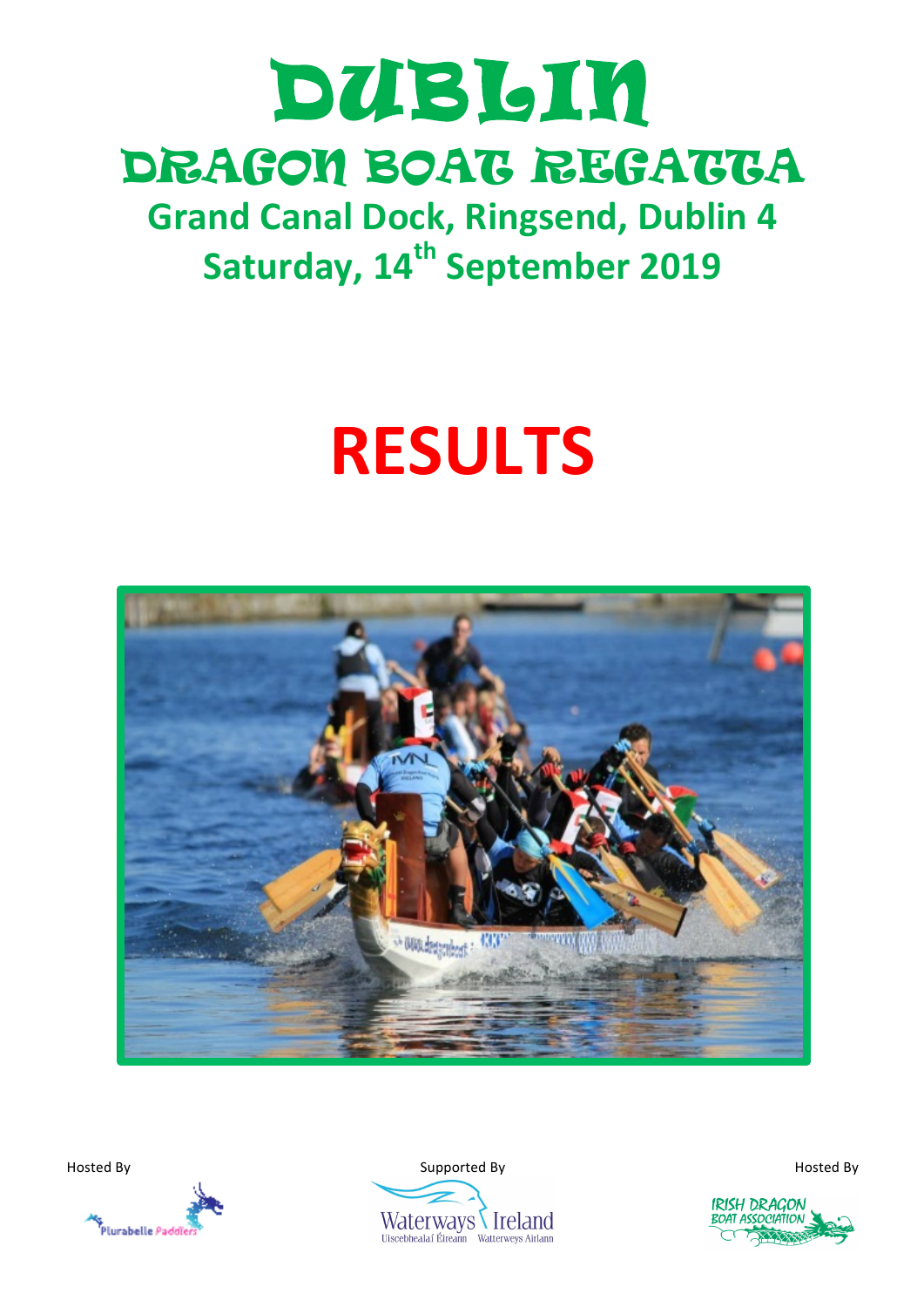## DUBLIN DRAGON BOAT REGATTA **Grand Canal Dock, Ringsend, Dublin 4**

**Saturday, 14<sup>th</sup> September 2019** 

# **RESULTS**





Hosted By Supported By Hosted By



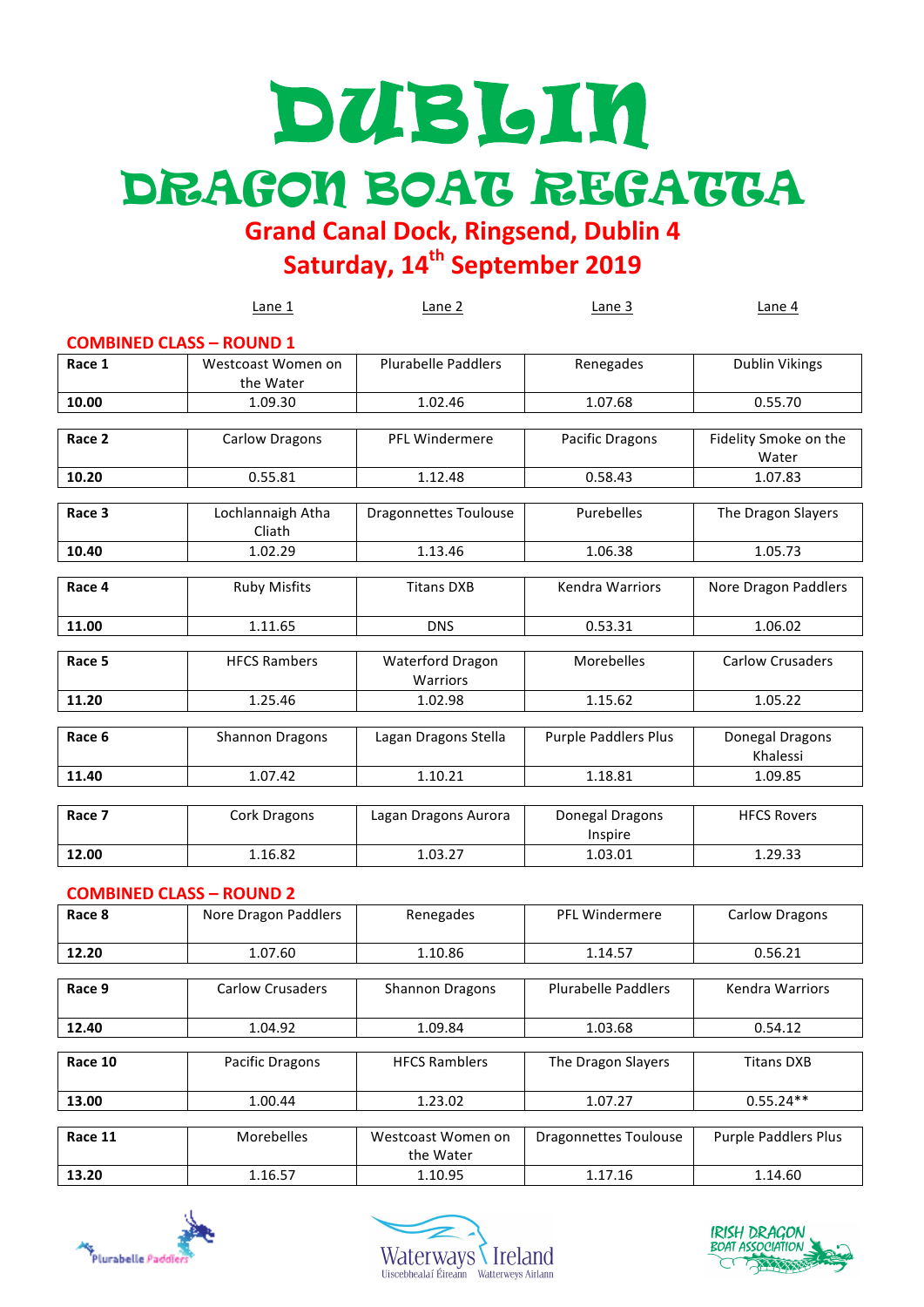# DUBLIN DRAGON BOAT REGATTA

**Grand Canal Dock, Ringsend, Dublin 4**

**Saturday, 14<sup>th</sup> September 2019** 

|                                 | Lane 1                          | Lane 2                                     | Lane 3                      | Lane 4                         |
|---------------------------------|---------------------------------|--------------------------------------------|-----------------------------|--------------------------------|
| <b>COMBINED CLASS - ROUND 1</b> |                                 |                                            |                             |                                |
| Race 1                          | Westcoast Women on<br>the Water | <b>Plurabelle Paddlers</b>                 | Renegades                   | <b>Dublin Vikings</b>          |
| 10.00                           | 1.09.30                         | 1.02.46                                    | 1.07.68                     | 0.55.70                        |
|                                 |                                 |                                            |                             |                                |
| Race 2                          | <b>Carlow Dragons</b>           | <b>PFL Windermere</b>                      | Pacific Dragons             | Fidelity Smoke on the<br>Water |
| 10.20                           | 0.55.81                         | 1.12.48                                    | 0.58.43                     | 1.07.83                        |
|                                 |                                 |                                            |                             |                                |
| Race 3                          | Lochlannaigh Atha<br>Cliath     | <b>Dragonnettes Toulouse</b>               | Purebelles                  | The Dragon Slayers             |
| 10.40                           | 1.02.29                         | 1.13.46                                    | 1.06.38                     | 1.05.73                        |
|                                 |                                 |                                            |                             |                                |
| Race 4                          | <b>Ruby Misfits</b>             | <b>Titans DXB</b>                          | <b>Kendra Warriors</b>      | Nore Dragon Paddlers           |
| 11.00                           | 1.11.65                         | <b>DNS</b>                                 | 0.53.31                     | 1.06.02                        |
|                                 |                                 |                                            |                             |                                |
| Race 5                          | <b>HFCS Rambers</b>             | <b>Waterford Dragon</b><br><b>Warriors</b> | Morebelles                  | <b>Carlow Crusaders</b>        |
| 11.20                           | 1.25.46                         | 1.02.98                                    | 1.15.62                     | 1.05.22                        |
|                                 |                                 |                                            |                             |                                |
| Race 6                          | <b>Shannon Dragons</b>          | Lagan Dragons Stella                       | <b>Purple Paddlers Plus</b> | Donegal Dragons<br>Khalessi    |
| 11.40                           | 1.07.42                         | 1.10.21                                    | 1.18.81                     | 1.09.85                        |
|                                 |                                 |                                            |                             |                                |
| Race 7                          | Cork Dragons                    | Lagan Dragons Aurora                       | Donegal Dragons<br>Inspire  | <b>HFCS Rovers</b>             |
| 12.00                           | 1.16.82                         | 1.03.27                                    | 1.03.01                     | 1.29.33                        |
| <b>COMBINED CLASS - ROUND 2</b> |                                 |                                            |                             |                                |
| $D \sim \sim 0$                 | Noro Dragon Daddlorc            | <b>Donogodoc</b>                           | DEL Windormoro              | Carlow Dragons                 |

| Race 8  | Nore Dragon Paddlers | Renegades              | PFL Windermere               | <b>Carlow Dragons</b>       |
|---------|----------------------|------------------------|------------------------------|-----------------------------|
|         |                      |                        |                              |                             |
| 12.20   | 1.07.60              | 1.10.86                | 1.14.57                      | 0.56.21                     |
|         |                      |                        |                              |                             |
| Race 9  | Carlow Crusaders     | <b>Shannon Dragons</b> | <b>Plurabelle Paddlers</b>   | Kendra Warriors             |
|         |                      |                        |                              |                             |
| 12.40   | 1.04.92              | 1.09.84                | 1.03.68                      | 0.54.12                     |
|         |                      |                        |                              |                             |
| Race 10 | Pacific Dragons      | <b>HFCS Ramblers</b>   | The Dragon Slayers           | <b>Titans DXB</b>           |
|         |                      |                        |                              |                             |
| 13.00   | 1.00.44              | 1.23.02                | 1.07.27                      | $0.55.24**$                 |
|         |                      |                        |                              |                             |
| Race 11 | <b>Morebelles</b>    | Westcoast Women on     | <b>Dragonnettes Toulouse</b> | <b>Purple Paddlers Plus</b> |
|         |                      | the Water              |                              |                             |
| 13.20   | 1.16.57              | 1.10.95                | 1.17.16                      | 1.14.60                     |
|         |                      |                        |                              |                             |





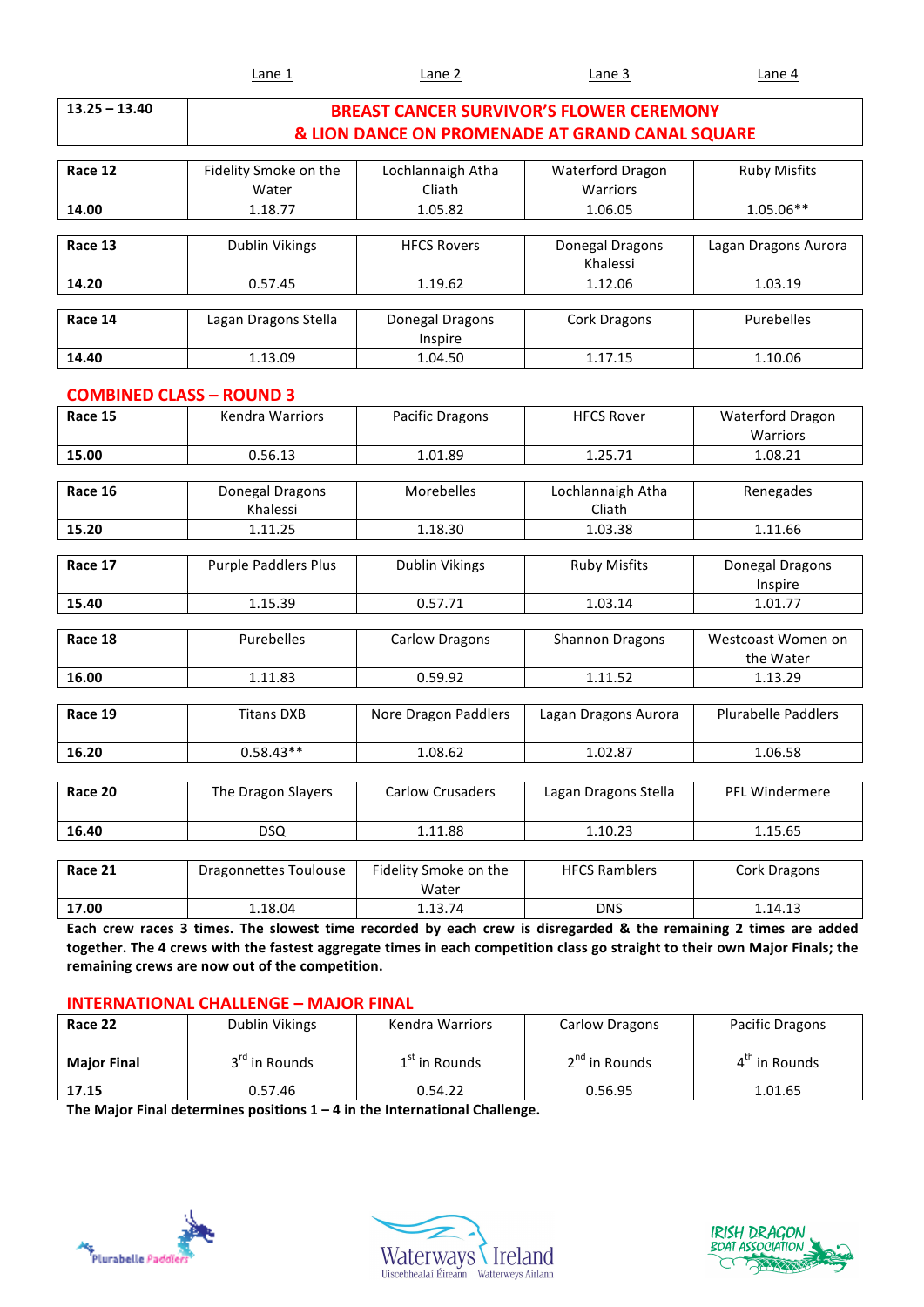|  | .<br>້ເຂ<br>-<br>_____ | ane<br>______ | $n -$<br>. | $\ddotsc$<br>nρ<br>_____ |
|--|------------------------|---------------|------------|--------------------------|
|--|------------------------|---------------|------------|--------------------------|

| $13.25 - 13.40$                 |                              |                                                 | <b>BREAST CANCER SURVIVOR'S FLOWER CEREMONY</b> |                            |
|---------------------------------|------------------------------|-------------------------------------------------|-------------------------------------------------|----------------------------|
|                                 |                              | & LION DANCE ON PROMENADE AT GRAND CANAL SQUARE |                                                 |                            |
|                                 |                              |                                                 |                                                 |                            |
| Race 12                         | Fidelity Smoke on the        | Lochlannaigh Atha                               | Waterford Dragon                                | <b>Ruby Misfits</b>        |
|                                 | Water                        | Cliath                                          | Warriors                                        |                            |
| 14.00                           | 1.18.77                      | 1.05.82                                         | 1.06.05                                         | $1.05.06**$                |
|                                 |                              |                                                 |                                                 |                            |
| Race 13                         | <b>Dublin Vikings</b>        | <b>HFCS Rovers</b>                              | Donegal Dragons                                 | Lagan Dragons Aurora       |
|                                 |                              |                                                 | Khalessi                                        |                            |
| 14.20                           | 0.57.45                      | 1.19.62                                         | 1.12.06                                         | 1.03.19                    |
| Race 14                         | Lagan Dragons Stella         | Donegal Dragons                                 | <b>Cork Dragons</b>                             | Purebelles                 |
|                                 |                              | Inspire                                         |                                                 |                            |
| 14.40                           | 1.13.09                      | 1.04.50                                         | 1.17.15                                         | 1.10.06                    |
|                                 |                              |                                                 |                                                 |                            |
| <b>COMBINED CLASS - ROUND 3</b> |                              |                                                 |                                                 |                            |
| Race 15                         | <b>Kendra Warriors</b>       | <b>Pacific Dragons</b>                          | <b>HFCS Rover</b>                               | Waterford Dragon           |
|                                 |                              |                                                 |                                                 | Warriors                   |
| 15.00                           | 0.56.13                      | 1.01.89                                         | 1.25.71                                         | 1.08.21                    |
|                                 |                              |                                                 |                                                 |                            |
| Race 16                         | Donegal Dragons<br>Khalessi  | Morebelles                                      | Lochlannaigh Atha<br>Cliath                     | Renegades                  |
| 15.20                           | 1.11.25                      | 1.18.30                                         | 1.03.38                                         | 1.11.66                    |
|                                 |                              |                                                 |                                                 |                            |
| Race 17                         | Purple Paddlers Plus         | <b>Dublin Vikings</b>                           | <b>Ruby Misfits</b>                             | Donegal Dragons            |
|                                 |                              |                                                 |                                                 | Inspire                    |
| 15.40                           | 1.15.39                      | 0.57.71                                         | 1.03.14                                         | 1.01.77                    |
|                                 |                              |                                                 |                                                 |                            |
| Race 18                         | Purebelles                   | <b>Carlow Dragons</b>                           | <b>Shannon Dragons</b>                          | Westcoast Women on         |
|                                 |                              |                                                 |                                                 | the Water                  |
| 16.00                           | 1.11.83                      | 0.59.92                                         | 1.11.52                                         | 1.13.29                    |
| Race 19                         | <b>Titans DXB</b>            | Nore Dragon Paddlers                            | Lagan Dragons Aurora                            | <b>Plurabelle Paddlers</b> |
|                                 |                              |                                                 |                                                 |                            |
| 16.20                           | $0.58.43**$                  | 1.08.62                                         | 1.02.87                                         | 1.06.58                    |
|                                 |                              |                                                 |                                                 |                            |
| Race 20                         | The Dragon Slayers           | Carlow Crusaders                                | Lagan Dragons Stella                            | PFL Windermere             |
|                                 |                              |                                                 |                                                 |                            |
| 16.40                           | <b>DSQ</b>                   | 1.11.88                                         | 1.10.23                                         | 1.15.65                    |
|                                 |                              |                                                 |                                                 |                            |
| Race 21                         | <b>Dragonnettes Toulouse</b> | Fidelity Smoke on the                           | <b>HFCS Ramblers</b>                            | Cork Dragons               |
|                                 |                              | Water                                           |                                                 |                            |
| 17.00                           | 1.18.04                      | 1.13.74                                         | DNS                                             | 1.14.13                    |

Each crew races 3 times. The slowest time recorded by each crew is disregarded & the remaining 2 times are added together. The 4 crews with the fastest aggregate times in each competition class go straight to their own Major Finals; the remaining crews are now out of the competition.

#### **INTERNATIONAL CHALLENGE - MAJOR FINAL**

| Race 22            | Dublin Vikings            | Kendra Warriors | Carlow Dragons            | Pacific Dragons |
|--------------------|---------------------------|-----------------|---------------------------|-----------------|
| <b>Major Final</b> | 3 <sup>rd</sup> in Rounds | $1st$ in Rounds | 2 <sup>nd</sup> in Rounds | 4" in Rounds    |
| 17.15              | 0.57.46                   | 0.54.22         | 0.56.95                   | 1.01.65         |

The Major Final determines positions 1 – 4 in the International Challenge.





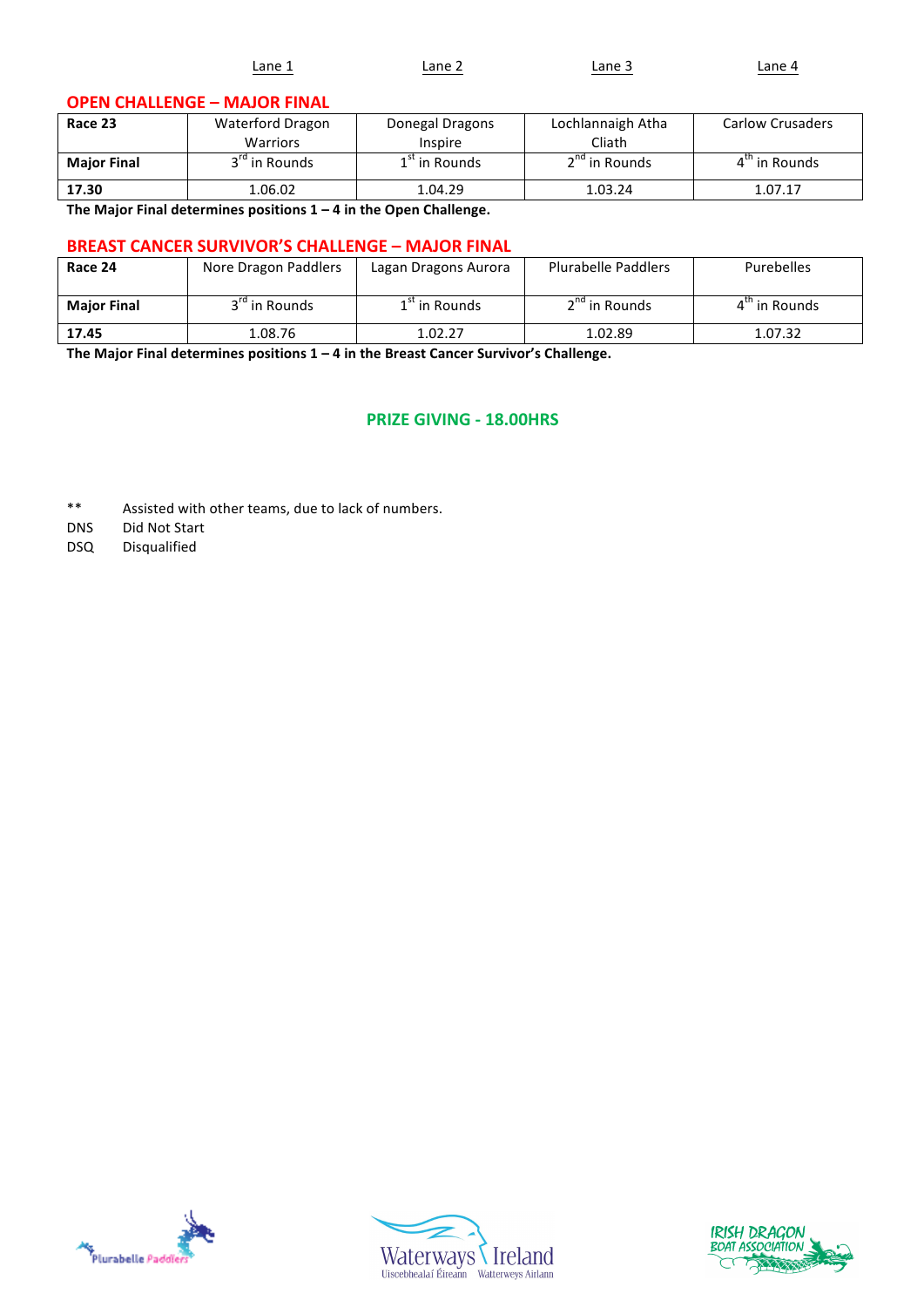| $\overline{\phantom{a}}$<br>_____<br>_____ | ∟ane | .ane | ۹ne | ane |
|--------------------------------------------|------|------|-----|-----|
|--------------------------------------------|------|------|-----|-----|

#### **OPEN CHALLENGE - MAJOR FINAL**

| Race 23                                                      | Waterford Dragon          | Donegal Dragons | Lochlannaigh Atha         | <b>Carlow Crusaders</b>   |
|--------------------------------------------------------------|---------------------------|-----------------|---------------------------|---------------------------|
|                                                              | <b>Warriors</b>           | Inspire         | Cliath                    |                           |
| <b>Major Final</b>                                           | 3 <sup>rd</sup> in Rounds | $1st$ in Rounds | 2 <sup>nd</sup> in Rounds | $4^{\text{th}}$ in Rounds |
| 17.30                                                        | 1.06.02                   | 1.04.29         | 1.03.24                   | 1.07.17                   |
| .<br>$- \cdot$<br>$\cdot\cdot$<br>$\sim$ $\sim$<br>----<br>. |                           |                 |                           |                           |

**The Major Final determines positions 1 – 4 in the Open Challenge.**

#### **BREAST CANCER SURVIVOR'S CHALLENGE - MAJOR FINAL**

| Race 24            | Nore Dragon Paddlers      | Lagan Dragons Aurora | <b>Plurabelle Paddlers</b> | Purebelles                |
|--------------------|---------------------------|----------------------|----------------------------|---------------------------|
| <b>Major Final</b> | 3 <sup>rd</sup> in Rounds | $1st$ in Rounds      | $2nd$ in Rounds            | $4^{\text{th}}$ in Rounds |
| 17.45              | 1.08.76                   | 1.02.27              | 1.02.89                    | 1.07.32                   |

The Major Final determines positions  $1 - 4$  in the Breast Cancer Survivor's Challenge.

#### **PRIZE GIVING - 18.00HRS**

- \*\* Assisted with other teams, due to lack of numbers.
- DNS Did Not Start
- DSQ Disqualified